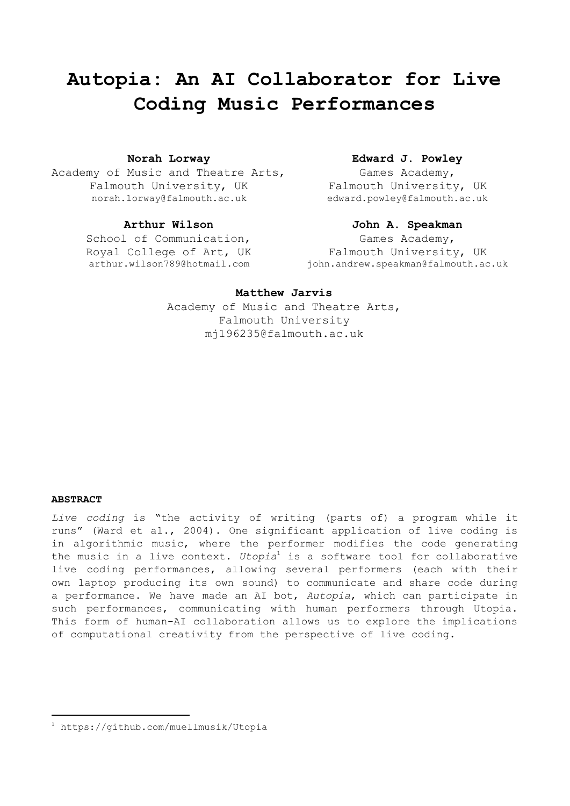# **Autopia: An AI Collaborator for Live Coding Music Performances**

Academy of Music and Theatre Arts, Falmouth University, UK norah.lorway@falmouth.ac.uk

School of Communication, Royal College of Art, UK arthur.wilson789@hotmail.com

# **Norah Lorway Edward J. Powley**

Games Academy, Falmouth University, UK edward.powley@falmouth.ac.uk

# **Arthur Wilson John A. Speakman**

Games Academy, Falmouth University, UK john.andrew.speakman@falmouth.ac.uk

### **Matthew Jarvis**

Academy of Music and Theatre Arts, Falmouth University mj196235@falmouth.ac.uk

#### **ABSTRACT**

*Live coding* is "the activity of writing (parts of) a program while it runs" (Ward et al., 2004). One significant application of live coding is in algorithmic music, where the performer modifies the code generating the music in a live context. *Utopia*<sup>1</sup> is a software tool for collaborative live coding performances, allowing several performers (each with their own laptop producing its own sound) to communicate and share code during a performance. We have made an AI bot, *Autopia*, which can participate in such performances, communicating with human performers through Utopia. This form of human-AI collaboration allows us to explore the implications of computational creativity from the perspective of live coding.

<sup>1</sup> https://github.com/muellmusik/Utopia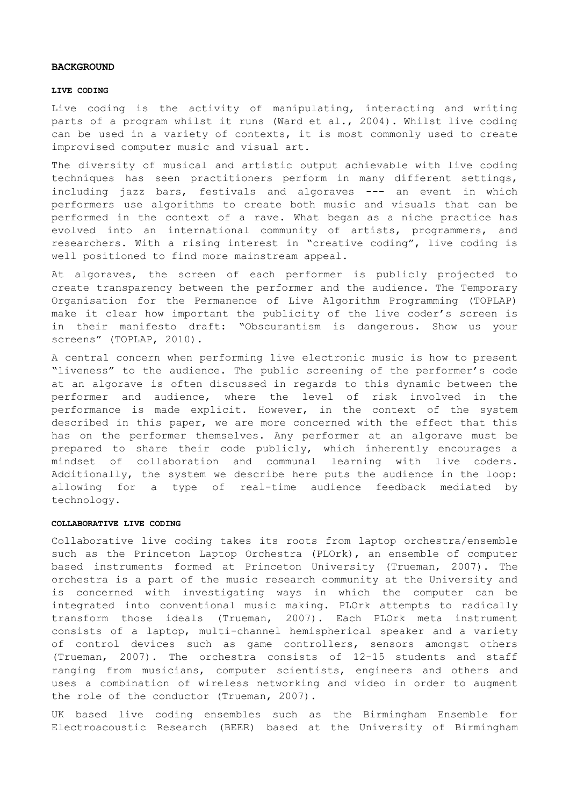#### **BACKGROUND**

#### **LIVE CODING**

Live coding is the activity of manipulating, interacting and writing parts of a program whilst it runs (Ward et al., 2004). Whilst live coding can be used in a variety of contexts, it is most commonly used to create improvised computer music and visual art.

The diversity of musical and artistic output achievable with live coding techniques has seen practitioners perform in many different settings, including jazz bars, festivals and algoraves --- an event in which performers use algorithms to create both music and visuals that can be performed in the context of a rave. What began as a niche practice has evolved into an international community of artists, programmers, and researchers. With a rising interest in "creative coding", live coding is well positioned to find more mainstream appeal.

At algoraves, the screen of each performer is publicly projected to create transparency between the performer and the audience. The Temporary Organisation for the Permanence of Live Algorithm Programming (TOPLAP) make it clear how important the publicity of the live coder's screen is in their manifesto draft: "Obscurantism is dangerous. Show us your screens" (TOPLAP, 2010).

A central concern when performing live electronic music is how to present "liveness" to the audience. The public screening of the performer's code at an algorave is often discussed in regards to this dynamic between the performer and audience, where the level of risk involved in the performance is made explicit. However, in the context of the system described in this paper, we are more concerned with the effect that this has on the performer themselves. Any performer at an algorave must be prepared to share their code publicly, which inherently encourages a mindset of collaboration and communal learning with live coders. Additionally, the system we describe here puts the audience in the loop: allowing for a type of real-time audience feedback mediated by technology.

#### **COLLABORATIVE LIVE CODING**

Collaborative live coding takes its roots from laptop orchestra/ensemble such as the Princeton Laptop Orchestra (PLOrk), an ensemble of computer based instruments formed at Princeton University (Trueman, 2007). The orchestra is a part of the music research community at the University and is concerned with investigating ways in which the computer can be integrated into conventional music making. PLOrk attempts to radically transform those ideals (Trueman, 2007). Each PLOrk meta instrument consists of a laptop, multi-channel hemispherical speaker and a variety of control devices such as game controllers, sensors amongst others (Trueman, 2007). The orchestra consists of 12-15 students and staff ranging from musicians, computer scientists, engineers and others and uses a combination of wireless networking and video in order to augment the role of the conductor (Trueman, 2007).

UK based live coding ensembles such as the Birmingham Ensemble for Electroacoustic Research (BEER) based at the University of Birmingham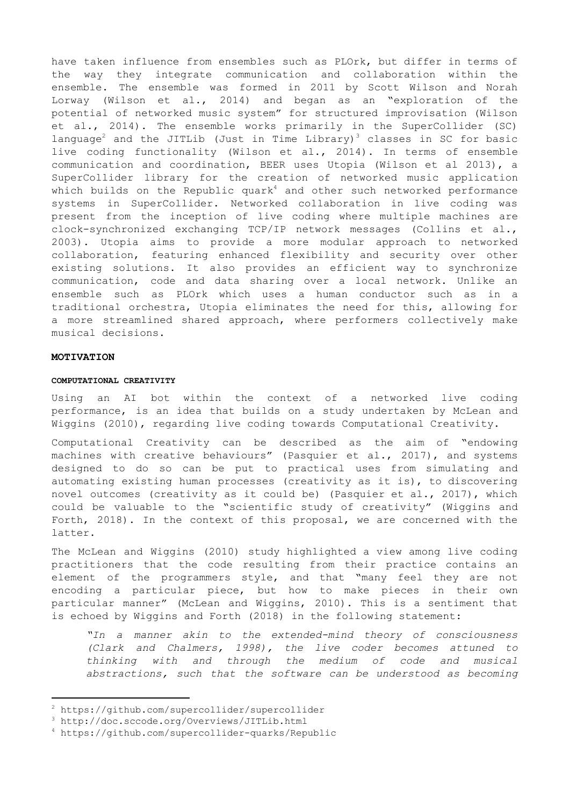have taken influence from ensembles such as PLOrk, but differ in terms of the way they integrate communication and collaboration within the ensemble. The ensemble was formed in 2011 by Scott Wilson and Norah Lorway (Wilson et al., 2014) and began as an "exploration of the potential of networked music system" for structured improvisation (Wilson et al., 2014). The ensemble works primarily in the SuperCollider (SC) language<sup>2</sup> and the JITLib (Just in Time Library)<sup>3</sup> classes in SC for basic live coding functionality (Wilson et al., 2014). In terms of ensemble communication and coordination, BEER uses Utopia (Wilson et al 2013), a SuperCollider library for the creation of networked music application which builds on the Republic quark $^4$  and other such networked performance systems in SuperCollider. Networked collaboration in live coding was present from the inception of live coding where multiple machines are clock-synchronized exchanging TCP/IP network messages (Collins et al., 2003). Utopia aims to provide a more modular approach to networked collaboration, featuring enhanced flexibility and security over other existing solutions. It also provides an efficient way to synchronize communication, code and data sharing over a local network. Unlike an ensemble such as PLOrk which uses a human conductor such as in a traditional orchestra, Utopia eliminates the need for this, allowing for a more streamlined shared approach, where performers collectively make musical decisions.

#### **MOTIVATION**

#### **COMPUTATIONAL CREATIVITY**

Using an AI bot within the context of a networked live coding performance, is an idea that builds on a study undertaken by McLean and Wiggins (2010), regarding live coding towards Computational Creativity.

Computational Creativity can be described as the aim of "endowing machines with creative behaviours" (Pasquier et al., 2017), and systems designed to do so can be put to practical uses from simulating and automating existing human processes (creativity as it is), to discovering novel outcomes (creativity as it could be) (Pasquier et al., 2017), which could be valuable to the "scientific study of creativity" (Wiggins and Forth, 2018). In the context of this proposal, we are concerned with the latter.

The McLean and Wiggins (2010) study highlighted a view among live coding practitioners that the code resulting from their practice contains an element of the programmers style, and that "many feel they are not encoding a particular piece, but how to make pieces in their own particular manner" (McLean and Wiggins, 2010). This is a sentiment that is echoed by Wiggins and Forth (2018) in the following statement:

*"In a manner akin to the extended-mind theory of consciousness (Clark and Chalmers, 1998), the live coder becomes attuned to thinking with and through the medium of code and musical abstractions, such that the software can be understood as becoming*

<sup>2</sup> https://github.com/supercollider/supercollider

<sup>3</sup> http://doc.sccode.org/Overviews/JITLib.html

<sup>4</sup> https://github.com/supercollider-quarks/Republic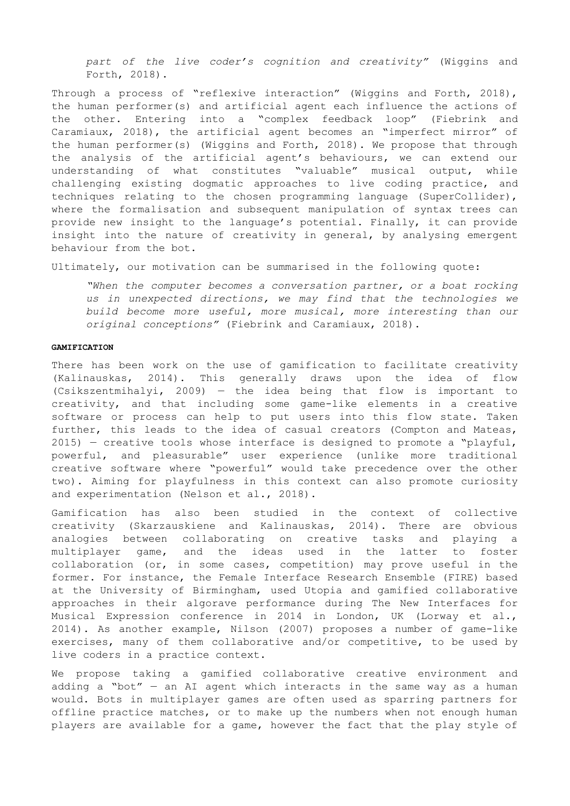*part of the live coder's cognition and creativity"* (Wiggins and Forth, 2018).

Through a process of "reflexive interaction" (Wiggins and Forth, 2018), the human performer(s) and artificial agent each influence the actions of the other. Entering into a "complex feedback loop" (Fiebrink and Caramiaux, 2018), the artificial agent becomes an "imperfect mirror" of the human performer(s) (Wiggins and Forth, 2018). We propose that through the analysis of the artificial agent's behaviours, we can extend our understanding of what constitutes "valuable" musical output, while challenging existing dogmatic approaches to live coding practice, and techniques relating to the chosen programming language (SuperCollider), where the formalisation and subsequent manipulation of syntax trees can provide new insight to the language's potential. Finally, it can provide insight into the nature of creativity in general, by analysing emergent behaviour from the bot.

Ultimately, our motivation can be summarised in the following quote:

*"When the computer becomes a conversation partner, or a boat rocking us in unexpected directions, we may find that the technologies we build become more useful, more musical, more interesting than our original conceptions"* (Fiebrink and Caramiaux, 2018).

#### **GAMIFICATION**

There has been work on the use of gamification to facilitate creativity (Kalinauskas, 2014). This generally draws upon the idea of flow (Csikszentmihalyi, 2009) — the idea being that flow is important to creativity, and that including some game-like elements in a creative software or process can help to put users into this flow state. Taken further, this leads to the idea of casual creators (Compton and Mateas,  $2015$ ) – creative tools whose interface is designed to promote a "playful, powerful, and pleasurable" user experience (unlike more traditional creative software where "powerful" would take precedence over the other two). Aiming for playfulness in this context can also promote curiosity and experimentation (Nelson et al., 2018).

Gamification has also been studied in the context of collective creativity (Skarzauskiene and Kalinauskas, 2014). There are obvious analogies between collaborating on creative tasks and playing a multiplayer game, and the ideas used in the latter to foster collaboration (or, in some cases, competition) may prove useful in the former. For instance, the Female Interface Research Ensemble (FIRE) based at the University of Birmingham, used Utopia and gamified collaborative approaches in their algorave performance during The New Interfaces for Musical Expression conference in 2014 in London, UK (Lorway et al., 2014). As another example, Nilson (2007) proposes a number of game-like exercises, many of them collaborative and/or competitive, to be used by live coders in a practice context.

We propose taking a gamified collaborative creative environment and adding a "bot"  $-$  an AI agent which interacts in the same way as a human would. Bots in multiplayer games are often used as sparring partners for offline practice matches, or to make up the numbers when not enough human players are available for a game, however the fact that the play style of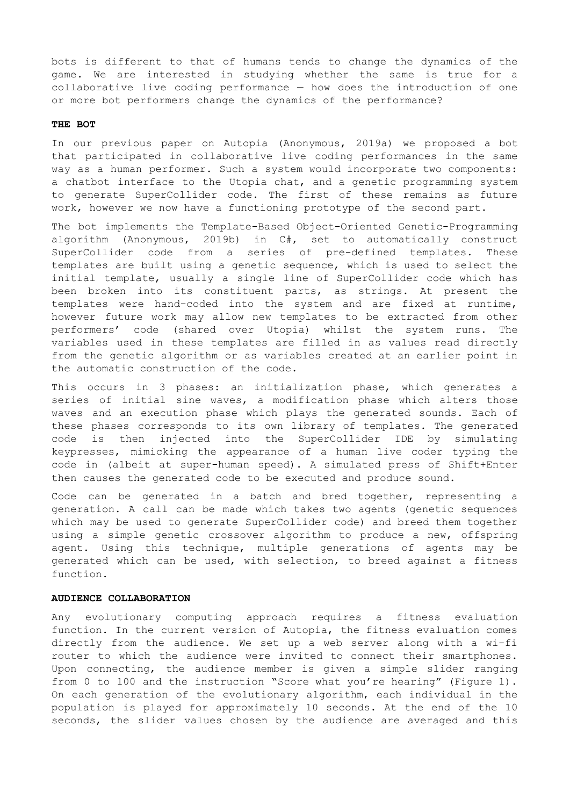bots is different to that of humans tends to change the dynamics of the game. We are interested in studying whether the same is true for a collaborative live coding performance — how does the introduction of one or more bot performers change the dynamics of the performance?

## **THE BOT**

In our previous paper on Autopia (Anonymous, 2019a) we proposed a bot that participated in collaborative live coding performances in the same way as a human performer. Such a system would incorporate two components: a chatbot interface to the Utopia chat, and a genetic programming system to generate SuperCollider code. The first of these remains as future work, however we now have a functioning prototype of the second part.

The bot implements the Template-Based Object-Oriented Genetic-Programming algorithm (Anonymous, 2019b) in C#, set to automatically construct SuperCollider code from a series of pre-defined templates. These templates are built using a genetic sequence, which is used to select the initial template, usually a single line of SuperCollider code which has been broken into its constituent parts, as strings. At present the templates were hand-coded into the system and are fixed at runtime, however future work may allow new templates to be extracted from other performers' code (shared over Utopia) whilst the system runs. The variables used in these templates are filled in as values read directly from the genetic algorithm or as variables created at an earlier point in the automatic construction of the code.

This occurs in 3 phases: an initialization phase, which generates a series of initial sine waves, a modification phase which alters those waves and an execution phase which plays the generated sounds. Each of these phases corresponds to its own library of templates. The generated code is then injected into the SuperCollider IDE by simulating keypresses, mimicking the appearance of a human live coder typing the code in (albeit at super-human speed). A simulated press of Shift+Enter then causes the generated code to be executed and produce sound.

Code can be generated in a batch and bred together, representing a generation. A call can be made which takes two agents (genetic sequences which may be used to generate SuperCollider code) and breed them together using a simple genetic crossover algorithm to produce a new, offspring agent. Using this technique, multiple generations of agents may be generated which can be used, with selection, to breed against a fitness function.

### **AUDIENCE COLLABORATION**

Any evolutionary computing approach requires a fitness evaluation function. In the current version of Autopia, the fitness evaluation comes directly from the audience. We set up a web server along with a wi-fi router to which the audience were invited to connect their smartphones. Upon connecting, the audience member is given a simple slider ranging from 0 to 100 and the instruction "Score what you're hearing" (Figure 1). On each generation of the evolutionary algorithm, each individual in the population is played for approximately 10 seconds. At the end of the 10 seconds, the slider values chosen by the audience are averaged and this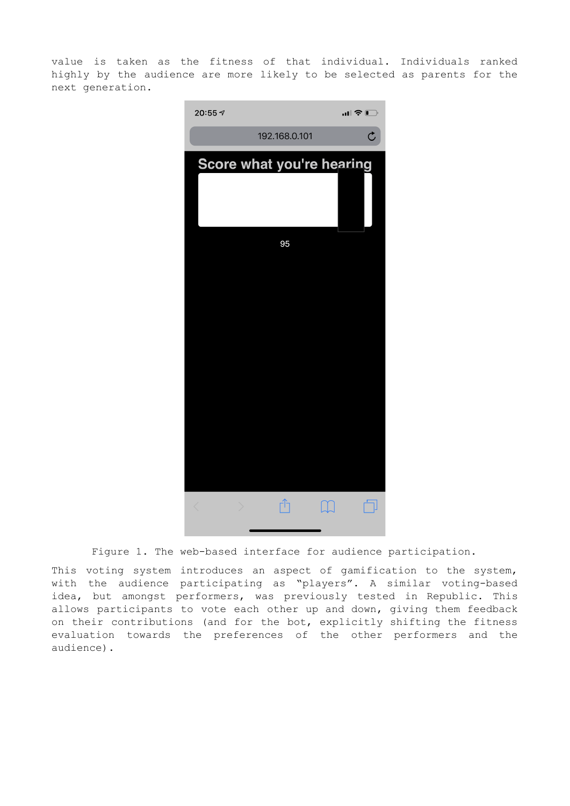value is taken as the fitness of that individual. Individuals ranked highly by the audience are more likely to be selected as parents for the next generation.



Figure 1. The web-based interface for audience participation.

This voting system introduces an aspect of gamification to the system, with the audience participating as "players". A similar voting-based idea, but amongst performers, was previously tested in Republic. This allows participants to vote each other up and down, giving them feedback on their contributions (and for the bot, explicitly shifting the fitness evaluation towards the preferences of the other performers and the audience).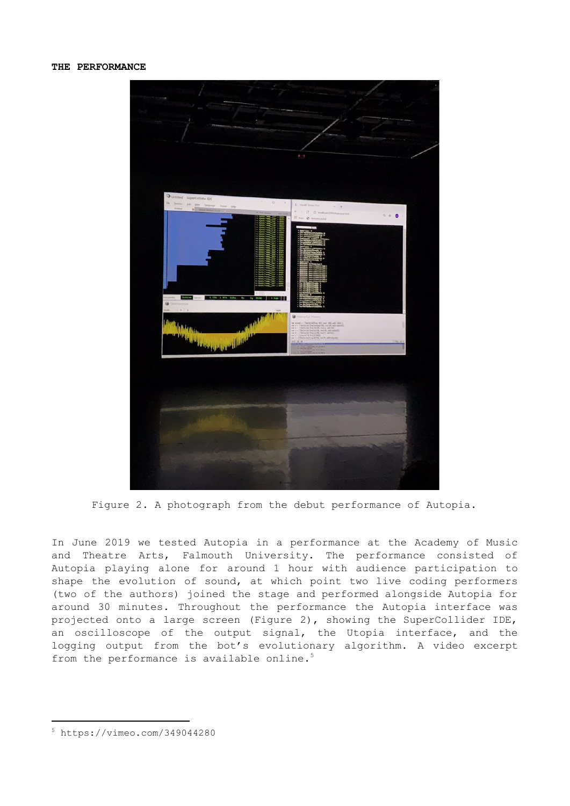

Figure 2. A photograph from the debut performance of Autopia.

In June 2019 we tested Autopia in a performance at the Academy of Music and Theatre Arts, Falmouth University. The performance consisted of Autopia playing alone for around 1 hour with audience participation to shape the evolution of sound, at which point two live coding performers (two of the authors) joined the stage and performed alongside Autopia for around 30 minutes. Throughout the performance the Autopia interface was projected onto a large screen (Figure 2), showing the SuperCollider IDE, an oscilloscope of the output signal, the Utopia interface, and the logging output from the bot's evolutionary algorithm. A video excerpt from the performance is available online. 5

<sup>5</sup> https://vimeo.com/349044280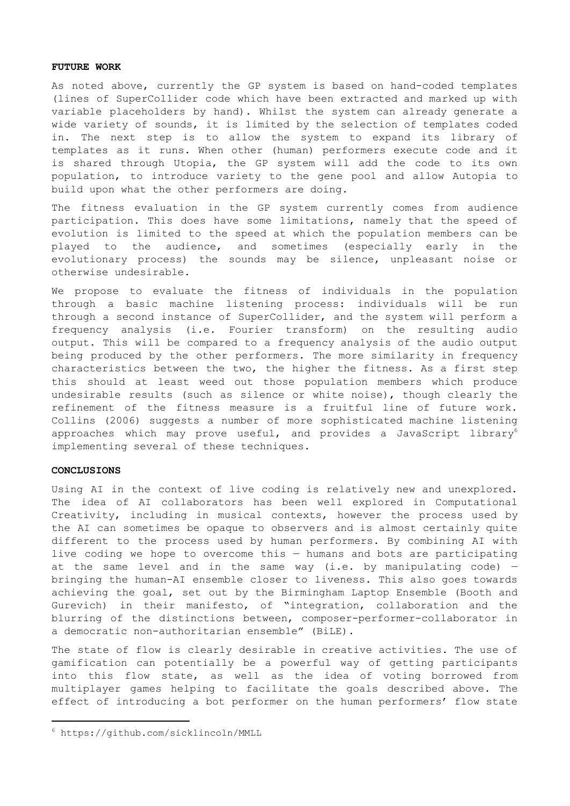#### **FUTURE WORK**

As noted above, currently the GP system is based on hand-coded templates (lines of SuperCollider code which have been extracted and marked up with variable placeholders by hand). Whilst the system can already generate a wide variety of sounds, it is limited by the selection of templates coded in. The next step is to allow the system to expand its library of templates as it runs. When other (human) performers execute code and it is shared through Utopia, the GP system will add the code to its own population, to introduce variety to the gene pool and allow Autopia to build upon what the other performers are doing.

The fitness evaluation in the GP system currently comes from audience participation. This does have some limitations, namely that the speed of evolution is limited to the speed at which the population members can be played to the audience, and sometimes (especially early in the evolutionary process) the sounds may be silence, unpleasant noise or otherwise undesirable.

We propose to evaluate the fitness of individuals in the population through a basic machine listening process: individuals will be run through a second instance of SuperCollider, and the system will perform a frequency analysis (i.e. Fourier transform) on the resulting audio output. This will be compared to a frequency analysis of the audio output being produced by the other performers. The more similarity in frequency characteristics between the two, the higher the fitness. As a first step this should at least weed out those population members which produce undesirable results (such as silence or white noise), though clearly the refinement of the fitness measure is a fruitful line of future work. Collins (2006) suggests a number of more sophisticated machine listening approaches which may prove useful, and provides a JavaScript library $^6$ implementing several of these techniques.

### **CONCLUSIONS**

Using AI in the context of live coding is relatively new and unexplored. The idea of AI collaborators has been well explored in Computational Creativity, including in musical contexts, however the process used by the AI can sometimes be opaque to observers and is almost certainly quite different to the process used by human performers. By combining AI with live coding we hope to overcome this — humans and bots are participating at the same level and in the same way (i.e. by manipulating code)  $$ bringing the human-AI ensemble closer to liveness. This also goes towards achieving the goal, set out by the Birmingham Laptop Ensemble (Booth and Gurevich) in their manifesto, of "integration, collaboration and the blurring of the distinctions between, composer-performer-collaborator in a democratic non-authoritarian ensemble" (BiLE).

The state of flow is clearly desirable in creative activities. The use of gamification can potentially be a powerful way of getting participants into this flow state, as well as the idea of voting borrowed from multiplayer games helping to facilitate the goals described above. The effect of introducing a bot performer on the human performers' flow state

<sup>6</sup> https://github.com/sicklincoln/MMLL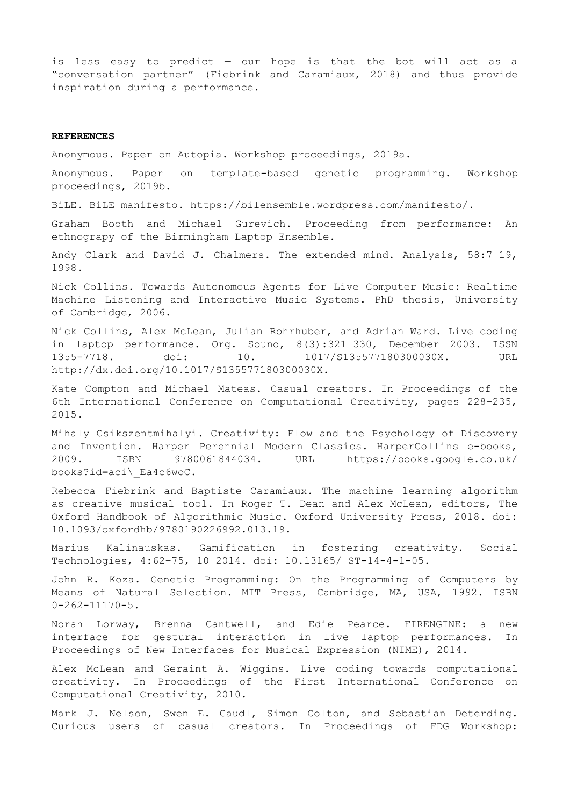is less easy to predict — our hope is that the bot will act as a "conversation partner" (Fiebrink and Caramiaux, 2018) and thus provide inspiration during a performance.

#### **REFERENCES**

Anonymous. Paper on Autopia. Workshop proceedings, 2019a.

Anonymous. Paper on template-based genetic programming. Workshop proceedings, 2019b.

BiLE. BiLE manifesto. https://bilensemble.wordpress.com/manifesto/.

Graham Booth and Michael Gurevich. Proceeding from performance: An ethnograpy of the Birmingham Laptop Ensemble.

Andy Clark and David J. Chalmers. The extended mind. Analysis, 58:7–19, 1998.

Nick Collins. Towards Autonomous Agents for Live Computer Music: Realtime Machine Listening and Interactive Music Systems. PhD thesis, University of Cambridge, 2006.

Nick Collins, Alex McLean, Julian Rohrhuber, and Adrian Ward. Live coding in laptop performance. Org. Sound, 8(3):321–330, December 2003. ISSN 1355-7718. doi: 10. 1017/S135577180300030X. URL http://dx.doi.org/10.1017/S135577180300030X.

Kate Compton and Michael Mateas. Casual creators. In Proceedings of the 6th International Conference on Computational Creativity, pages 228–235, 2015.

Mihaly Csikszentmihalyi. Creativity: Flow and the Psychology of Discovery and Invention. Harper Perennial Modern Classics. HarperCollins e-books, 2009. ISBN 9780061844034. URL https://books.google.co.uk/ books?id=aci\\_Ea4c6woC.

Rebecca Fiebrink and Baptiste Caramiaux. The machine learning algorithm as creative musical tool. In Roger T. Dean and Alex McLean, editors, The Oxford Handbook of Algorithmic Music. Oxford University Press, 2018. doi: 10.1093/oxfordhb/9780190226992.013.19.

Marius Kalinauskas. Gamification in fostering creativity. Social Technologies, 4:62–75, 10 2014. doi: 10.13165/ ST-14-4-1-05.

John R. Koza. Genetic Programming: On the Programming of Computers by Means of Natural Selection. MIT Press, Cambridge, MA, USA, 1992. ISBN  $0 - 262 - 11170 - 5$ .

Norah Lorway, Brenna Cantwell, and Edie Pearce. FIRENGINE: a new interface for gestural interaction in live laptop performances. In Proceedings of New Interfaces for Musical Expression (NIME), 2014.

Alex McLean and Geraint A. Wiggins. Live coding towards computational creativity. In Proceedings of the First International Conference on Computational Creativity, 2010.

Mark J. Nelson, Swen E. Gaudl, Simon Colton, and Sebastian Deterding. Curious users of casual creators. In Proceedings of FDG Workshop: